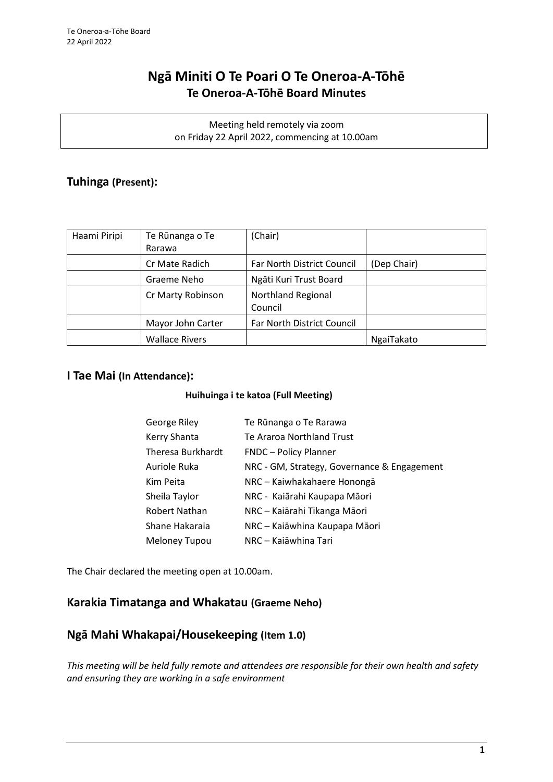# **Ngā Miniti O Te Poari O Te Oneroa-A-Tōhē Te Oneroa-A-Tōhē Board Minutes**

Meeting held remotely via zoom on Friday 22 April 2022, commencing at 10.00am

## **Tuhinga (Present):**

| Haami Piripi | Te Rūnanga o Te       | (Chair)                              |             |
|--------------|-----------------------|--------------------------------------|-------------|
|              | Rarawa                |                                      |             |
|              | Cr Mate Radich        | <b>Far North District Council</b>    | (Dep Chair) |
|              | Graeme Neho           | Ngāti Kuri Trust Board               |             |
|              | Cr Marty Robinson     | <b>Northland Regional</b><br>Council |             |
|              | Mayor John Carter     | Far North District Council           |             |
|              | <b>Wallace Rivers</b> |                                      | NgaiTakato  |

## **I Tae Mai (In Attendance):**

## **Huihuinga i te katoa (Full Meeting)**

| George Riley         | Te Rūnanga o Te Rarawa                      |
|----------------------|---------------------------------------------|
| Kerry Shanta         | Te Araroa Northland Trust                   |
| Theresa Burkhardt    | <b>FNDC</b> - Policy Planner                |
| Auriole Ruka         | NRC - GM, Strategy, Governance & Engagement |
| Kim Peita            | NRC - Kaiwhakahaere Honongā                 |
| Sheila Taylor        | NRC - Kaiārahi Kaupapa Māori                |
| Robert Nathan        | NRC - Kaiārahi Tikanga Māori                |
| Shane Hakaraia       | NRC - Kaiāwhina Kaupapa Māori               |
| <b>Meloney Tupou</b> | NRC – Kajāwhina Tari                        |

The Chair declared the meeting open at 10.00am.

## **Karakia Timatanga and Whakatau (Graeme Neho)**

## **Ngā Mahi Whakapai/Housekeeping (Item 1.0)**

*This meeting will be held fully remote and attendees are responsible for their own health and safety and ensuring they are working in a safe environment*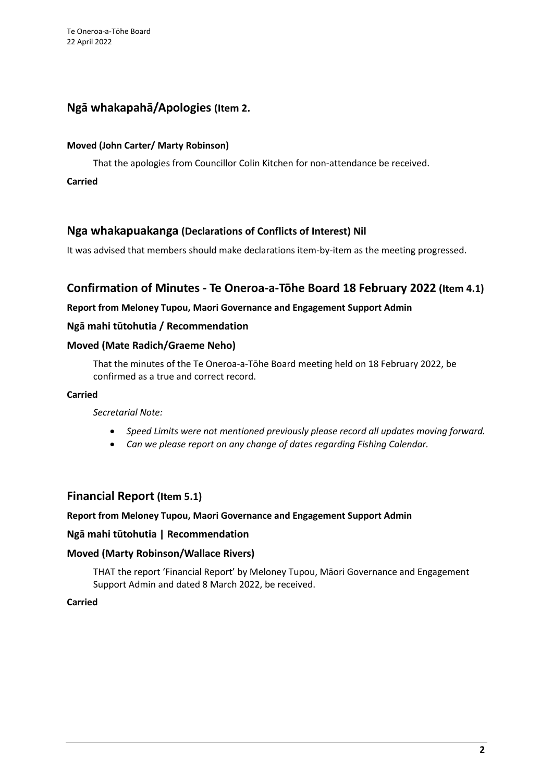## **Ngā whakapahā/Apologies (Item 2.**

#### **Moved (John Carter/ Marty Robinson)**

That the apologies from Councillor Colin Kitchen for non-attendance be received.

**Carried**

## **Nga whakapuakanga (Declarations of Conflicts of Interest) Nil**

It was advised that members should make declarations item-by-item as the meeting progressed.

## **Confirmation of Minutes - Te Oneroa-a-Tōhe Board 18 February 2022 (Item 4.1)**

## **Report from Meloney Tupou, Maori Governance and Engagement Support Admin**

## **Ngā mahi tūtohutia / Recommendation**

## **Moved (Mate Radich/Graeme Neho)**

That the minutes of the Te Oneroa-a-Tōhe Board meeting held on 18 February 2022, be confirmed as a true and correct record.

#### **Carried**

#### *Secretarial Note:*

- *Speed Limits were not mentioned previously please record all updates moving forward.*
- *Can we please report on any change of dates regarding Fishing Calendar.*

## **Financial Report (Item 5.1)**

## **Report from Meloney Tupou, Maori Governance and Engagement Support Admin**

## **Ngā mahi tūtohutia | Recommendation**

## **Moved (Marty Robinson/Wallace Rivers)**

THAT the report 'Financial Report' by Meloney Tupou, Māori Governance and Engagement Support Admin and dated 8 March 2022, be received.

## **Carried**